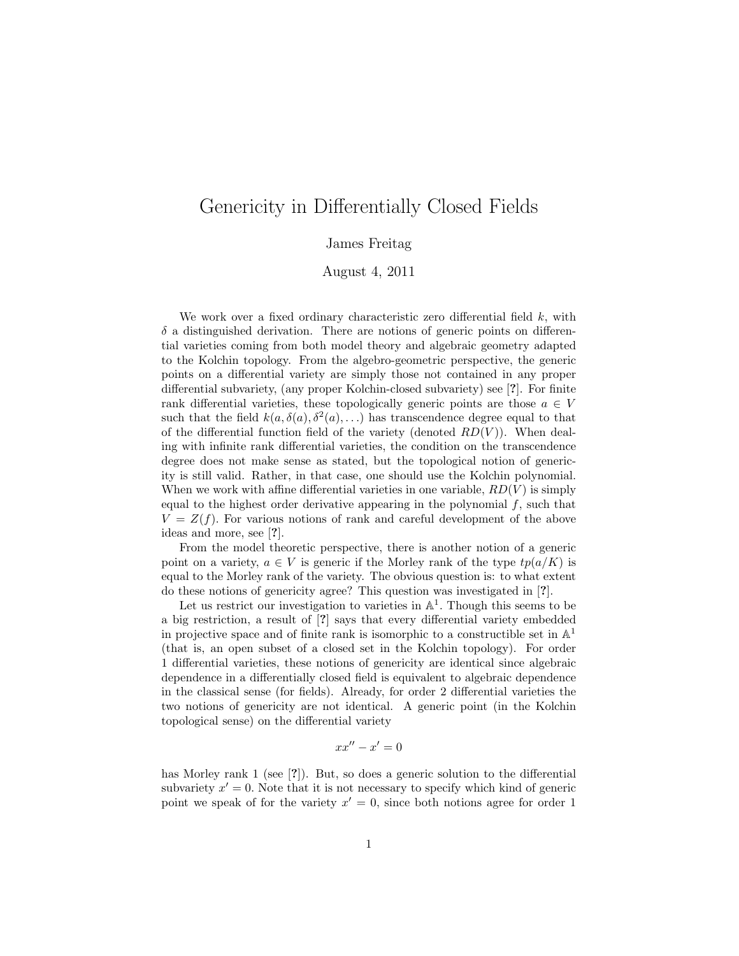## Genericity in Differentially Closed Fields

James Freitag

August 4, 2011

We work over a fixed ordinary characteristic zero differential field  $k$ , with  $\delta$  a distinguished derivation. There are notions of generic points on differential varieties coming from both model theory and algebraic geometry adapted to the Kolchin topology. From the algebro-geometric perspective, the generic points on a differential variety are simply those not contained in any proper differential subvariety, (any proper Kolchin-closed subvariety) see [?]. For finite rank differential varieties, these topologically generic points are those  $a \in V$ such that the field  $k(a, \delta(a), \delta^2(a), ...)$  has transcendence degree equal to that of the differential function field of the variety (denoted  $RD(V)$ ). When dealing with infinite rank differential varieties, the condition on the transcendence degree does not make sense as stated, but the topological notion of genericity is still valid. Rather, in that case, one should use the Kolchin polynomial. When we work with affine differential varieties in one variable,  $RD(V)$  is simply equal to the highest order derivative appearing in the polynomial  $f$ , such that  $V = Z(f)$ . For various notions of rank and careful development of the above ideas and more, see [?].

From the model theoretic perspective, there is another notion of a generic point on a variety,  $a \in V$  is generic if the Morley rank of the type  $tp(a/K)$  is equal to the Morley rank of the variety. The obvious question is: to what extent do these notions of genericity agree? This question was investigated in [?].

Let us restrict our investigation to varieties in  $\mathbb{A}^1$ . Though this seems to be a big restriction, a result of [?] says that every differential variety embedded in projective space and of finite rank is isomorphic to a constructible set in  $\mathbb{A}^1$ (that is, an open subset of a closed set in the Kolchin topology). For order 1 differential varieties, these notions of genericity are identical since algebraic dependence in a differentially closed field is equivalent to algebraic dependence in the classical sense (for fields). Already, for order 2 differential varieties the two notions of genericity are not identical. A generic point (in the Kolchin topological sense) on the differential variety

$$
xx''-x'=0
$$

has Morley rank 1 (see [?]). But, so does a generic solution to the differential subvariety  $x' = 0$ . Note that it is not necessary to specify which kind of generic point we speak of for the variety  $x' = 0$ , since both notions agree for order 1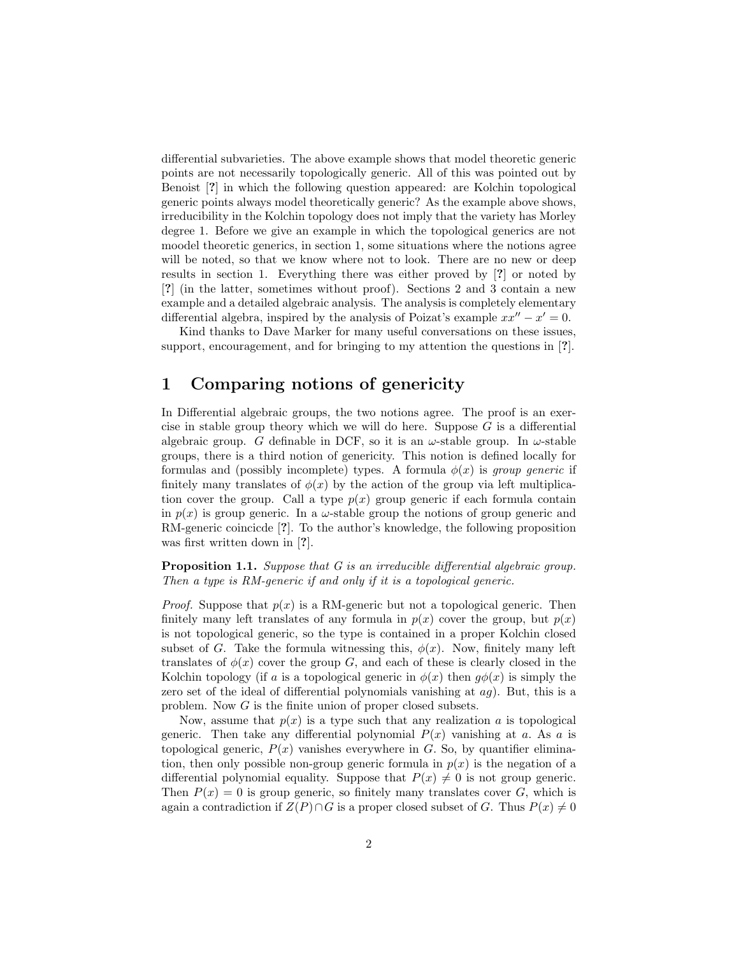differential subvarieties. The above example shows that model theoretic generic points are not necessarily topologically generic. All of this was pointed out by Benoist [?] in which the following question appeared: are Kolchin topological generic points always model theoretically generic? As the example above shows, irreducibility in the Kolchin topology does not imply that the variety has Morley degree 1. Before we give an example in which the topological generics are not moodel theoretic generics, in section 1, some situations where the notions agree will be noted, so that we know where not to look. There are no new or deep results in section 1. Everything there was either proved by [?] or noted by [?] (in the latter, sometimes without proof). Sections 2 and 3 contain a new example and a detailed algebraic analysis. The analysis is completely elementary differential algebra, inspired by the analysis of Poizat's example  $xx'' - x' = 0$ .

Kind thanks to Dave Marker for many useful conversations on these issues, support, encouragement, and for bringing to my attention the questions in [?].

## 1 Comparing notions of genericity

In Differential algebraic groups, the two notions agree. The proof is an exercise in stable group theory which we will do here. Suppose  $G$  is a differential algebraic group. G definable in DCF, so it is an  $\omega$ -stable group. In  $\omega$ -stable groups, there is a third notion of genericity. This notion is defined locally for formulas and (possibly incomplete) types. A formula  $\phi(x)$  is group generic if finitely many translates of  $\phi(x)$  by the action of the group via left multiplication cover the group. Call a type  $p(x)$  group generic if each formula contain in  $p(x)$  is group generic. In a  $\omega$ -stable group the notions of group generic and RM-generic coincicde [?]. To the author's knowledge, the following proposition was first written down in [?].

**Proposition 1.1.** Suppose that G is an irreducible differential algebraic group. Then a type is RM-generic if and only if it is a topological generic.

*Proof.* Suppose that  $p(x)$  is a RM-generic but not a topological generic. Then finitely many left translates of any formula in  $p(x)$  cover the group, but  $p(x)$ is not topological generic, so the type is contained in a proper Kolchin closed subset of G. Take the formula witnessing this,  $\phi(x)$ . Now, finitely many left translates of  $\phi(x)$  cover the group G, and each of these is clearly closed in the Kolchin topology (if a is a topological generic in  $\phi(x)$  then  $g\phi(x)$  is simply the zero set of the ideal of differential polynomials vanishing at  $ag$ ). But, this is a problem. Now G is the finite union of proper closed subsets.

Now, assume that  $p(x)$  is a type such that any realization a is topological generic. Then take any differential polynomial  $P(x)$  vanishing at a. As a is topological generic,  $P(x)$  vanishes everywhere in G. So, by quantifier elimination, then only possible non-group generic formula in  $p(x)$  is the negation of a differential polynomial equality. Suppose that  $P(x) \neq 0$  is not group generic. Then  $P(x) = 0$  is group generic, so finitely many translates cover G, which is again a contradiction if  $Z(P) \cap G$  is a proper closed subset of G. Thus  $P(x) \neq 0$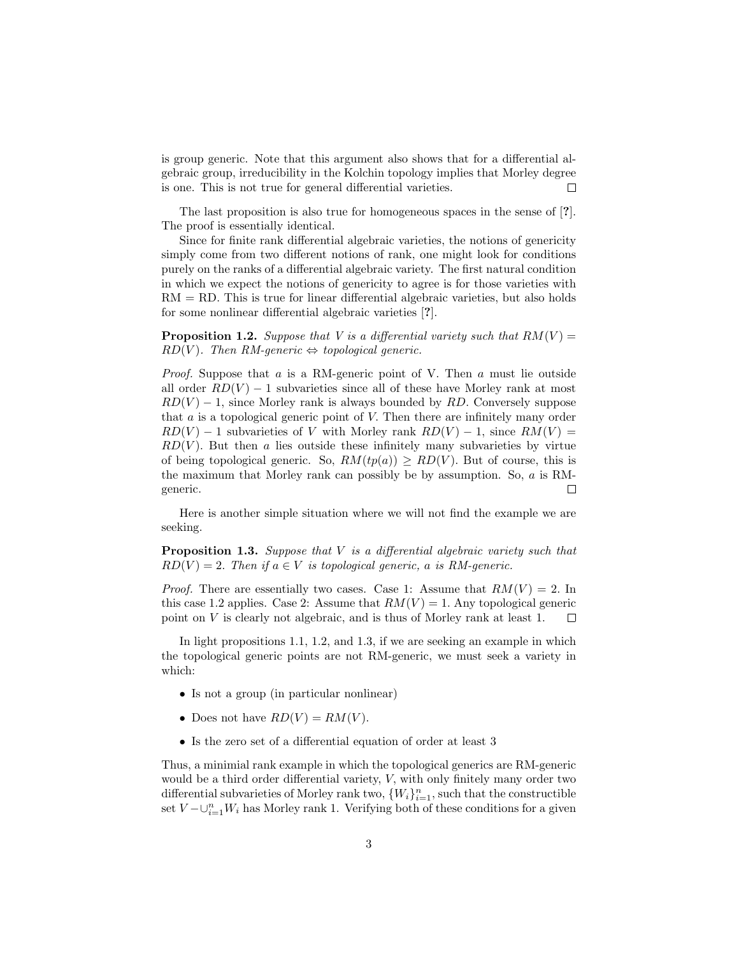is group generic. Note that this argument also shows that for a differential algebraic group, irreducibility in the Kolchin topology implies that Morley degree is one. This is not true for general differential varieties.  $\Box$ 

The last proposition is also true for homogeneous spaces in the sense of [?]. The proof is essentially identical.

Since for finite rank differential algebraic varieties, the notions of genericity simply come from two different notions of rank, one might look for conditions purely on the ranks of a differential algebraic variety. The first natural condition in which we expect the notions of genericity to agree is for those varieties with  $RM = RD$ . This is true for linear differential algebraic varieties, but also holds for some nonlinear differential algebraic varieties [?].

**Proposition 1.2.** Suppose that V is a differential variety such that  $RM(V)$  =  $RD(V)$ . Then RM-generic  $\Leftrightarrow$  topological generic.

*Proof.* Suppose that  $\alpha$  is a RM-generic point of V. Then  $\alpha$  must lie outside all order  $RD(V) - 1$  subvarieties since all of these have Morley rank at most  $RD(V) - 1$ , since Morley rank is always bounded by RD. Conversely suppose that  $a$  is a topological generic point of  $V$ . Then there are infinitely many order  $RD(V) - 1$  subvarieties of V with Morley rank  $RD(V) - 1$ , since  $RM(V) =$  $RD(V)$ . But then a lies outside these infinitely many subvarieties by virtue of being topological generic. So,  $RM(tp(a)) \geq RD(V)$ . But of course, this is the maximum that Morley rank can possibly be by assumption. So, a is RMgeneric.  $\Box$ 

Here is another simple situation where we will not find the example we are seeking.

**Proposition 1.3.** Suppose that  $V$  is a differential algebraic variety such that  $RD(V) = 2$ . Then if  $a \in V$  is topological generic, a is RM-generic.

*Proof.* There are essentially two cases. Case 1: Assume that  $RM(V) = 2$ . In this case 1.2 applies. Case 2: Assume that  $RM(V) = 1$ . Any topological generic point on V is clearly not algebraic, and is thus of Morley rank at least 1.  $\Box$ 

In light propositions 1.1, 1.2, and 1.3, if we are seeking an example in which the topological generic points are not RM-generic, we must seek a variety in which:

- Is not a group (in particular nonlinear)
- Does not have  $RD(V) = RM(V)$ .
- Is the zero set of a differential equation of order at least 3

Thus, a minimial rank example in which the topological generics are RM-generic would be a third order differential variety, V, with only finitely many order two differential subvarieties of Morley rank two,  $\{W_i\}_{i=1}^n$ , such that the constructible set  $V - \bigcup_{i=1}^n W_i$  has Morley rank 1. Verifying both of these conditions for a given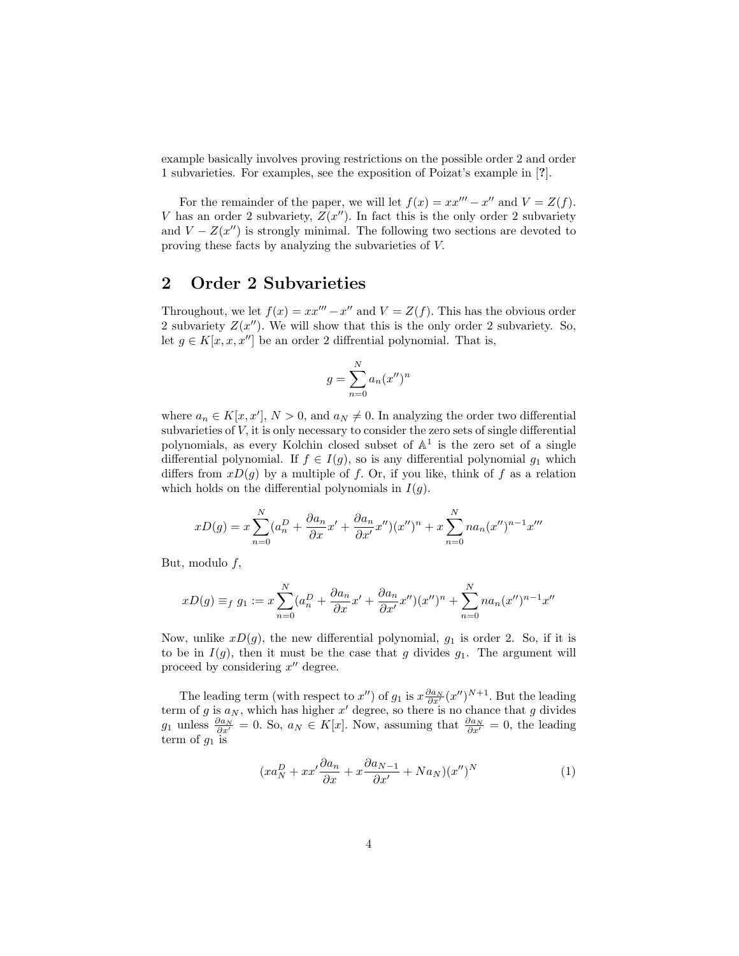example basically involves proving restrictions on the possible order 2 and order 1 subvarieties. For examples, see the exposition of Poizat's example in [?].

For the remainder of the paper, we will let  $f(x) = xx''' - x''$  and  $V = Z(f)$ . V has an order 2 subvariety,  $Z(x'')$ . In fact this is the only order 2 subvariety and  $V - Z(x'')$  is strongly minimal. The following two sections are devoted to proving these facts by analyzing the subvarieties of V.

## 2 Order 2 Subvarieties

Throughout, we let  $f(x) = xx''' - x''$  and  $V = Z(f)$ . This has the obvious order 2 subvariety  $Z(x'')$ . We will show that this is the only order 2 subvariety. So, let  $g \in K[x, x, x'']$  be an order 2 diffrential polynomial. That is,

$$
g = \sum_{n=0}^{N} a_n (x'')^n
$$

where  $a_n \in K[x, x'], N > 0$ , and  $a_N \neq 0$ . In analyzing the order two differential subvarieties of V, it is only necessary to consider the zero sets of single differential polynomials, as every Kolchin closed subset of  $A<sup>1</sup>$  is the zero set of a single differential polynomial. If  $f \in I(g)$ , so is any differential polynomial  $g_1$  which differs from  $xD(q)$  by a multiple of f. Or, if you like, think of f as a relation which holds on the differential polynomials in  $I(g)$ .

$$
xD(g) = x \sum_{n=0}^{N} (a_n^D + \frac{\partial a_n}{\partial x}x' + \frac{\partial a_n}{\partial x'}x'')(x'')^n + x \sum_{n=0}^{N} na_n (x'')^{n-1} x'''
$$

But, modulo  $f$ ,

$$
xD(g) \equiv_f g_1 := x \sum_{n=0}^{N} (a_n^D + \frac{\partial a_n}{\partial x} x' + \frac{\partial a_n}{\partial x'} x'')(x'')^n + \sum_{n=0}^{N} n a_n (x'')^{n-1} x''
$$

Now, unlike  $xD(q)$ , the new differential polynomial,  $q_1$  is order 2. So, if it is to be in  $I(q)$ , then it must be the case that q divides  $q_1$ . The argument will proceed by considering  $x''$  degree.

The leading term (with respect to  $x''$ ) of  $g_1$  is  $x \frac{\partial a_N}{\partial x'}(x'')^{N+1}$ . But the leading term of g is  $a_N$ , which has higher x' degree, so there is no chance that g divides g<sub>1</sub> unless  $\frac{\partial a_N}{\partial x'} = 0$ . So,  $a_N \in K[x]$ . Now, assuming that  $\frac{\partial a_N}{\partial x'} = 0$ , the leading term of  $g_1$  is

$$
(xa_N^D + xx'\frac{\partial a_n}{\partial x} + x\frac{\partial a_{N-1}}{\partial x'} + Na_N)(x'')^N
$$
 (1)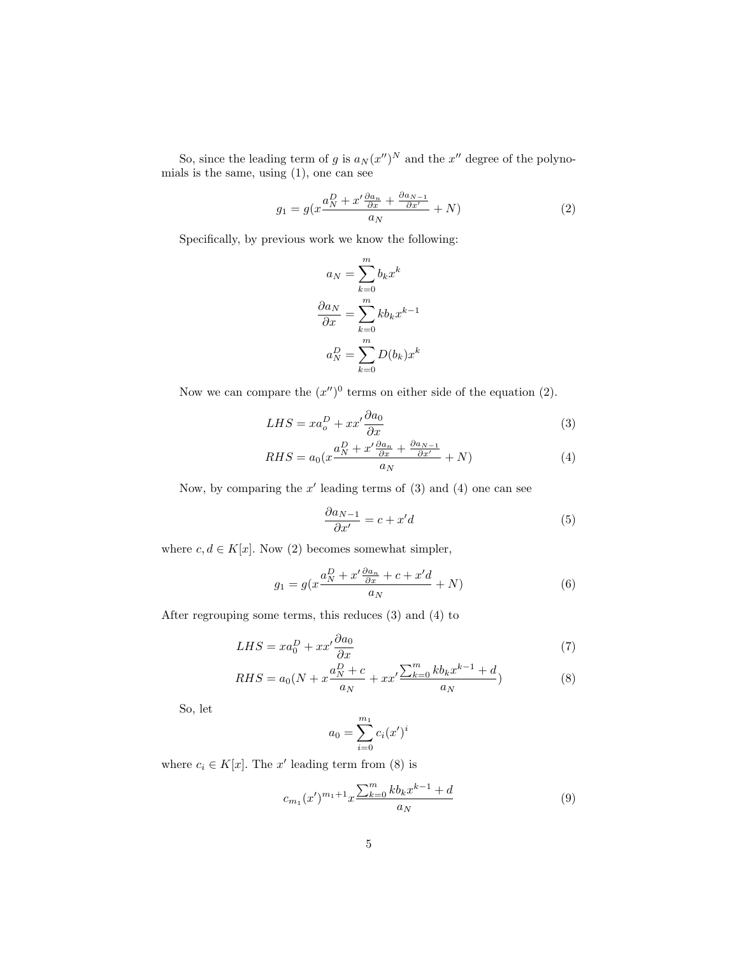So, since the leading term of g is  $a_N (x'')^N$  and the  $x''$  degree of the polynomials is the same, using (1), one can see

$$
g_1 = g(x\frac{a_N^D + x'\frac{\partial a_n}{\partial x} + \frac{\partial a_{N-1}}{\partial x'}}{a_N} + N)
$$
 (2)

Specifically, by previous work we know the following:

$$
a_N = \sum_{k=0}^m b_k x^k
$$

$$
\frac{\partial a_N}{\partial x} = \sum_{k=0}^m k b_k x^{k-1}
$$

$$
a_N^D = \sum_{k=0}^m D(b_k) x^k
$$

Now we can compare the  $(x'')^0$  terms on either side of the equation (2).

$$
LHS = xa_o^D + xx'\frac{\partial a_0}{\partial x} \tag{3}
$$

$$
RHS = a_0 \left( x \frac{a_N^D + x' \frac{\partial a_n}{\partial x} + \frac{\partial a_{N-1}}{\partial x'}}{a_N} + N \right) \tag{4}
$$

Now, by comparing the  $x'$  leading terms of  $(3)$  and  $(4)$  one can see

$$
\frac{\partial a_{N-1}}{\partial x'} = c + x'd \tag{5}
$$

where  $c, d \in K[x]$ . Now (2) becomes somewhat simpler,

$$
g_1 = g(x\frac{a_N^D + x'\frac{\partial a_n}{\partial x} + c + x'd}{a_N} + N)
$$
\n<sup>(6)</sup>

After regrouping some terms, this reduces (3) and (4) to

$$
LHS = xa_0^D + xx'\frac{\partial a_0}{\partial x} \tag{7}
$$

$$
RHS = a_0(N + x\frac{a_N^D + c}{a_N} + xx'\frac{\sum_{k=0}^m k b_k x^{k-1} + d}{a_N})
$$
(8)

So, let

$$
a_0 = \sum_{i=0}^{m_1} c_i (x')^i
$$

where  $c_i \in K[x]$ . The x' leading term from (8) is

$$
c_{m_1}(x')^{m_1+1}x\frac{\sum_{k=0}^m k b_k x^{k-1} + d}{a_N} \tag{9}
$$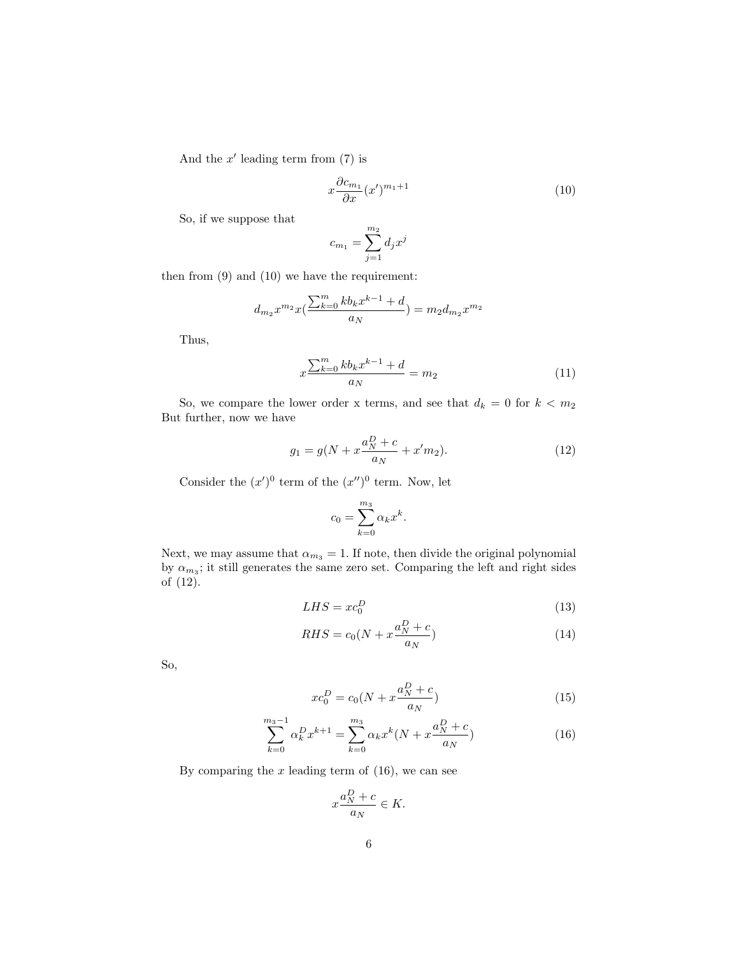And the  $x'$  leading term from  $(7)$  is

$$
x\frac{\partial c_{m_1}}{\partial x}(x')^{m_1+1} \tag{10}
$$

So, if we suppose that

$$
c_{m_1} = \sum_{j=1}^{m_2} d_j x^j
$$

then from (9) and (10) we have the requirement:

$$
d_{m_2}x^{m_2}x(\frac{\sum_{k=0}^mkb_kx^{k-1}+d}{a_N})=m_2d_{m_2}x^{m_2}
$$

Thus,

$$
x\frac{\sum_{k=0}^{m}kb_{k}x^{k-1}+d}{a_{N}}=m_{2}
$$
\n(11)

So, we compare the lower order x terms, and see that  $d_k = 0$  for  $k < m_2$ But further, now we have

$$
g_1 = g(N + x\frac{a_N^D + c}{a_N} + x'm_2).
$$
 (12)

Consider the  $(x')^0$  term of the  $(x'')^0$  term. Now, let

$$
c_0 = \sum_{k=0}^{m_3} \alpha_k x^k.
$$

Next, we may assume that  $\alpha_{m_3} = 1$ . If note, then divide the original polynomial by  $\alpha_{m_3}$ ; it still generates the same zero set. Comparing the left and right sides of (12).

$$
LHS = xc_0^D \tag{13}
$$

$$
RHS = c_0(N + x\frac{a_N^D + c}{a_N})\tag{14}
$$

So,

$$
xc_0^D = c_0(N + x\frac{a_N^D + c}{a_N})
$$
\n(15)

$$
\sum_{k=0}^{m_3-1} \alpha_k^D x^{k+1} = \sum_{k=0}^{m_3} \alpha_k x^k (N + x \frac{a_N^D + c}{a_N})
$$
 (16)

By comparing the  $x$  leading term of  $(16)$ , we can see

$$
x\frac{a_N^D + c}{a_N} \in K.
$$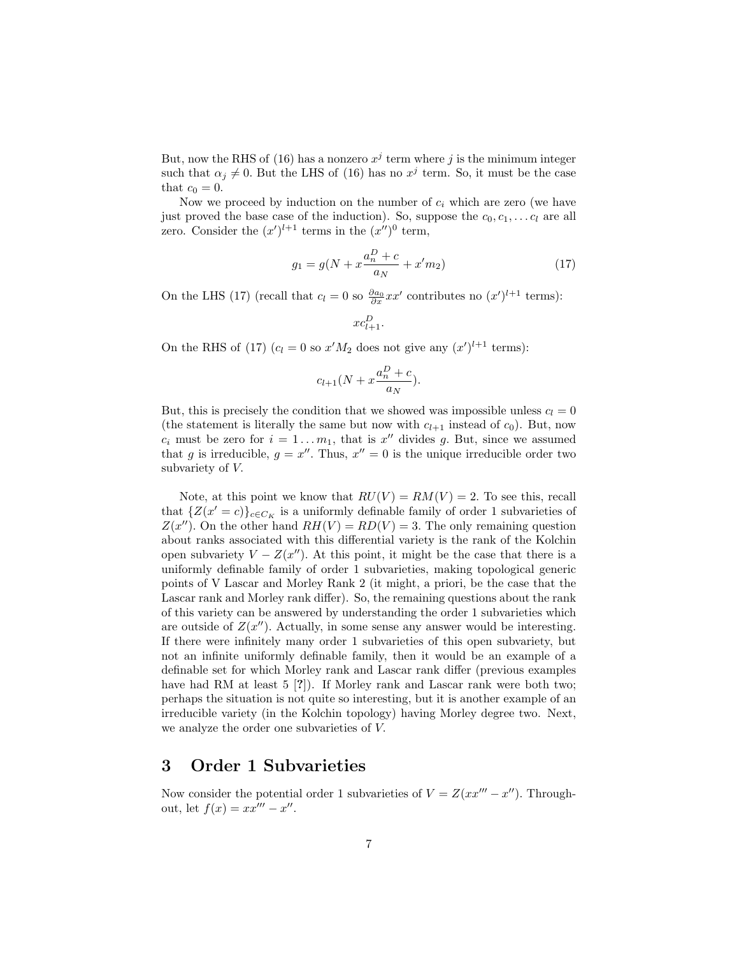But, now the RHS of (16) has a nonzero  $x^j$  term where j is the minimum integer such that  $\alpha_j \neq 0$ . But the LHS of (16) has no  $x^j$  term. So, it must be the case that  $c_0 = 0$ .

Now we proceed by induction on the number of  $c_i$  which are zero (we have just proved the base case of the induction). So, suppose the  $c_0, c_1, \ldots c_l$  are all zero. Consider the  $(x')^{l+1}$  terms in the  $(x'')^0$  term,

$$
g_1 = g(N + x\frac{a_n^D + c}{a_N} + x'm_2)
$$
\n(17)

On the LHS (17) (recall that  $c_l = 0$  so  $\frac{\partial a_0}{\partial x} x x'$  contributes no  $(x')^{l+1}$  terms):

$$
xc_{l+1}^D.
$$

On the RHS of (17)  $(c_l = 0 \text{ so } x'M_2 \text{ does not give any } (x')^{l+1} \text{ terms})$ :

$$
c_{l+1}(N + x\frac{a_n^D + c}{a_N}).
$$

But, this is precisely the condition that we showed was impossible unless  $c_l = 0$ (the statement is literally the same but now with  $c_{l+1}$  instead of  $c_0$ ). But, now  $c_i$  must be zero for  $i = 1...m_1$ , that is  $x''$  divides g. But, since we assumed that g is irreducible,  $g = x''$ . Thus,  $x'' = 0$  is the unique irreducible order two subvariety of V.

Note, at this point we know that  $RU(V) = RM(V) = 2$ . To see this, recall that  $\{Z(x'=c)\}_{c\in C_K}$  is a uniformly definable family of order 1 subvarieties of  $Z(x'')$ . On the other hand  $RH(V) = RD(V) = 3$ . The only remaining question about ranks associated with this differential variety is the rank of the Kolchin open subvariety  $V - Z(x'')$ . At this point, it might be the case that there is a uniformly definable family of order 1 subvarieties, making topological generic points of V Lascar and Morley Rank 2 (it might, a priori, be the case that the Lascar rank and Morley rank differ). So, the remaining questions about the rank of this variety can be answered by understanding the order 1 subvarieties which are outside of  $Z(x'')$ . Actually, in some sense any answer would be interesting. If there were infinitely many order 1 subvarieties of this open subvariety, but not an infinite uniformly definable family, then it would be an example of a definable set for which Morley rank and Lascar rank differ (previous examples have had RM at least 5 [?]). If Morley rank and Lascar rank were both two; perhaps the situation is not quite so interesting, but it is another example of an irreducible variety (in the Kolchin topology) having Morley degree two. Next, we analyze the order one subvarieties of V.

## 3 Order 1 Subvarieties

Now consider the potential order 1 subvarieties of  $V = Z(xx''' - x'')$ . Throughout, let  $f(x) = xx''' - x''$ .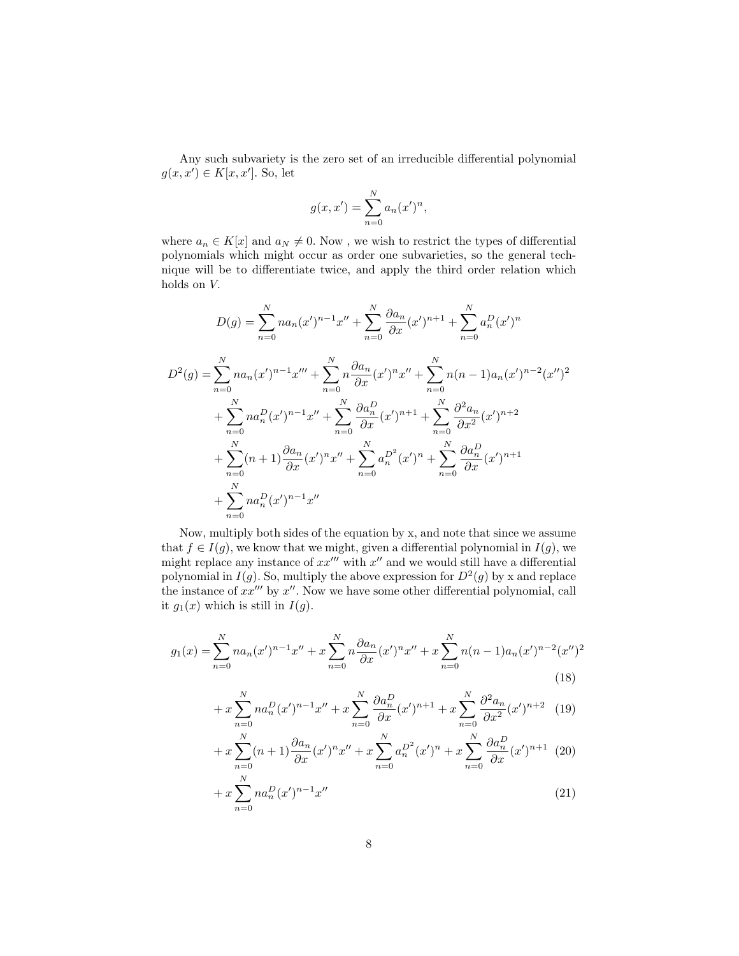Any such subvariety is the zero set of an irreducible differential polynomial  $g(x, x') \in K[x, x']$ . So, let

$$
g(x, x') = \sum_{n=0}^{N} a_n (x')^n,
$$

where  $a_n \in K[x]$  and  $a_N \neq 0$ . Now, we wish to restrict the types of differential polynomials which might occur as order one subvarieties, so the general technique will be to differentiate twice, and apply the third order relation which holds on V.

$$
D(g) = \sum_{n=0}^{N} na_n(x')^{n-1}x'' + \sum_{n=0}^{N} \frac{\partial a_n}{\partial x}(x')^{n+1} + \sum_{n=0}^{N} a_n^D(x')^n
$$
  
\n
$$
D^2(g) = \sum_{n=0}^{N} na_n(x')^{n-1}x''' + \sum_{n=0}^{N} n\frac{\partial a_n}{\partial x}(x')^{n}x'' + \sum_{n=0}^{N} n(n-1)a_n(x')^{n-2}(x'')^{2}
$$
  
\n
$$
+ \sum_{n=0}^{N} na_n^D(x')^{n-1}x'' + \sum_{n=0}^{N} \frac{\partial a_n^D}{\partial x}(x')^{n+1} + \sum_{n=0}^{N} \frac{\partial^2 a_n}{\partial x^2}(x')^{n+2}
$$
  
\n
$$
+ \sum_{n=0}^{N} (n+1)\frac{\partial a_n}{\partial x}(x')^{n}x'' + \sum_{n=0}^{N} a_n^{D^2}(x')^{n} + \sum_{n=0}^{N} \frac{\partial a_n^D}{\partial x}(x')^{n+1}
$$
  
\n
$$
+ \sum_{n=0}^{N} na_n^D(x')^{n-1}x''
$$

Now, multiply both sides of the equation by x, and note that since we assume that  $f \in I(g)$ , we know that we might, given a differential polynomial in  $I(g)$ , we might replace any instance of  $xx''$  with  $x''$  and we would still have a differential polynomial in  $I(g)$ . So, multiply the above expression for  $D^2(g)$  by x and replace the instance of  $xx'''$  by  $x''$ . Now we have some other differential polynomial, call it  $g_1(x)$  which is still in  $I(g)$ .

$$
g_1(x) = \sum_{n=0}^{N} na_n(x')^{n-1}x'' + x\sum_{n=0}^{N} n\frac{\partial a_n}{\partial x}(x')^n x'' + x\sum_{n=0}^{N} n(n-1)a_n(x')^{n-2}(x'')^2
$$
\n(18)

$$
+ x \sum_{n=0}^{N} n a_n^D (x')^{n-1} x'' + x \sum_{n=0}^{N} \frac{\partial a_n^D}{\partial x} (x')^{n+1} + x \sum_{n=0}^{N} \frac{\partial^2 a_n}{\partial x^2} (x')^{n+2} \tag{19}
$$

$$
+ x \sum_{n=0}^{N} (n+1) \frac{\partial a_n}{\partial x} (x')^n x'' + x \sum_{n=0}^{N} a_n^{D^2} (x')^n + x \sum_{n=0}^{N} \frac{\partial a_n^{D}}{\partial x} (x')^{n+1} (20)
$$

$$
+ x \sum_{n=0}^{N} n a_n^D (x')^{n-1} x'' \tag{21}
$$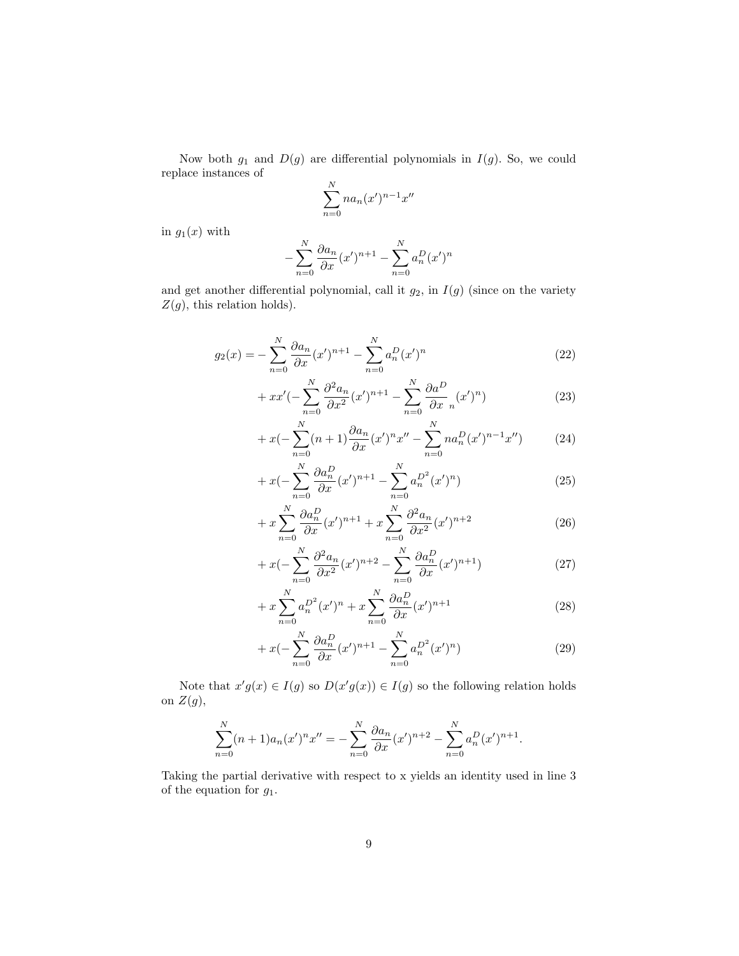Now both  $g_1$  and  $D(g)$  are differential polynomials in  $I(g)$ . So, we could replace instances of

$$
\sum_{n=0}^{N} na_n(x')^{n-1}x''
$$

in  $g_1(x)$  with

$$
-\sum_{n=0}^{N} \frac{\partial a_n}{\partial x} (x')^{n+1} - \sum_{n=0}^{N} a_n^D (x')^n
$$

−

and get another differential polynomial, call it  $g_2$ , in  $I(g)$  (since on the variety  $Z(g)$ , this relation holds).

$$
g_2(x) = -\sum_{n=0}^{N} \frac{\partial a_n}{\partial x} (x')^{n+1} - \sum_{n=0}^{N} a_n^D (x')^n
$$
 (22)

$$
+xx'(-\sum_{n=0}^{N}\frac{\partial^2 a_n}{\partial x^2}(x')^{n+1} - \sum_{n=0}^{N}\frac{\partial a^n}{\partial x_n}(x')^n)
$$
\n(23)

$$
+ x\left(-\sum_{n=0}^{N} (n+1)\frac{\partial a_n}{\partial x} (x')^n x'' - \sum_{n=0}^{N} n a_n^D (x')^{n-1} x''\right) \tag{24}
$$

$$
+ x\left(-\sum_{n=0}^{N} \frac{\partial a_n^D}{\partial x}(x')^{n+1} - \sum_{n=0}^{N} a_n^{D^2}(x')^n\right) \tag{25}
$$

$$
+ x \sum_{n=0}^{N} \frac{\partial a_n^D}{\partial x} (x')^{n+1} + x \sum_{n=0}^{N} \frac{\partial^2 a_n}{\partial x^2} (x')^{n+2}
$$
 (26)

$$
+ x\left(-\sum_{n=0}^{N} \frac{\partial^2 a_n}{\partial x^2} (x')^{n+2} - \sum_{n=0}^{N} \frac{\partial a_n^D}{\partial x} (x')^{n+1}\right) \tag{27}
$$

$$
+ x \sum_{n=0}^{N} a_n^{D^2} (x')^n + x \sum_{n=0}^{N} \frac{\partial a_n^{D}}{\partial x} (x')^{n+1}
$$
 (28)

$$
+ x\left(-\sum_{n=0}^{N} \frac{\partial a_n^D}{\partial x} (x')^{n+1} - \sum_{n=0}^{N} a_n^{D^2} (x')^n\right) \tag{29}
$$

Note that  $x'g(x) \in I(g)$  so  $D(x'g(x)) \in I(g)$  so the following relation holds on  $Z(g)$ ,

$$
\sum_{n=0}^{N} (n+1)a_n(x')^n x'' = -\sum_{n=0}^{N} \frac{\partial a_n}{\partial x} (x')^{n+2} - \sum_{n=0}^{N} a_n^D (x')^{n+1}.
$$

Taking the partial derivative with respect to x yields an identity used in line 3 of the equation for  $g_1$ .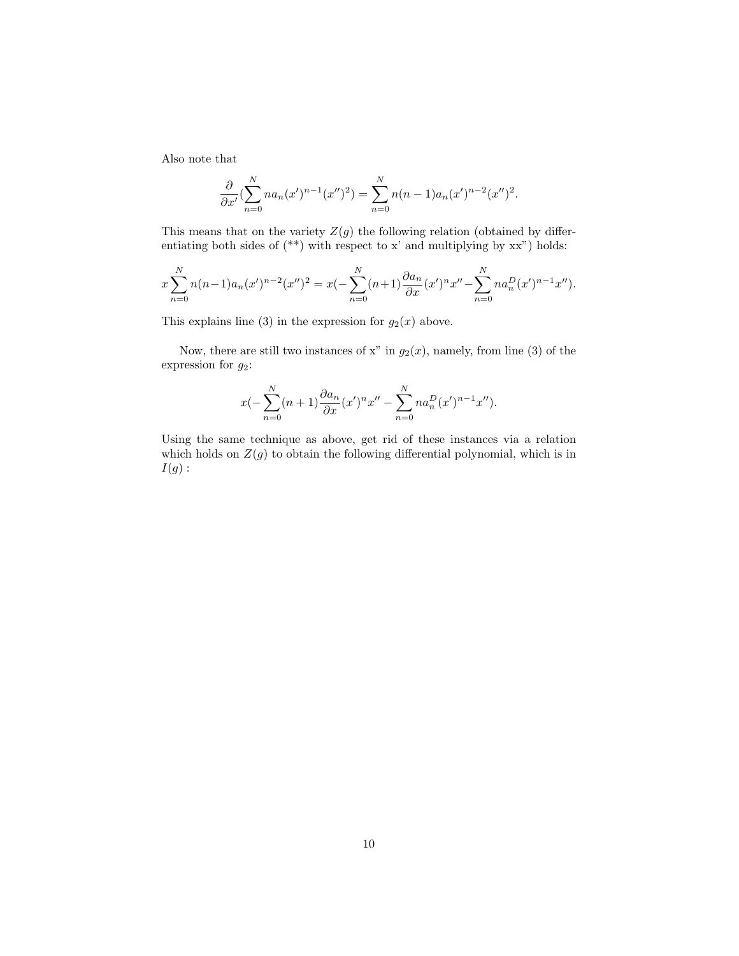Also note that

$$
\frac{\partial}{\partial x'}\left(\sum_{n=0}^N na_n(x')^{n-1}(x'')^2\right) = \sum_{n=0}^N n(n-1)a_n(x')^{n-2}(x'')^2.
$$

This means that on the variety  $Z(g)$  the following relation (obtained by differentiating both sides of  $(**)$  with respect to x' and multiplying by  $xx$ ") holds:

$$
x\sum_{n=0}^{N}n(n-1)a_n(x')^{n-2}(x'')^2 = x(-\sum_{n=0}^{N}(n+1)\frac{\partial a_n}{\partial x}(x')^nx'' - \sum_{n=0}^{N}na_n^D(x')^{n-1}x'').
$$

This explains line (3) in the expression for  $g_2(x)$  above.

Now, there are still two instances of x" in  $g_2(x)$ , namely, from line (3) of the expression for  $g_2$ :

$$
x(-\sum_{n=0}^{N} (n+1) \frac{\partial a_n}{\partial x} (x')^n x'' - \sum_{n=0}^{N} n a_n^D (x')^{n-1} x'').
$$

Using the same technique as above, get rid of these instances via a relation which holds on  $Z(g)$  to obtain the following differential polynomial, which is in  $I(g):$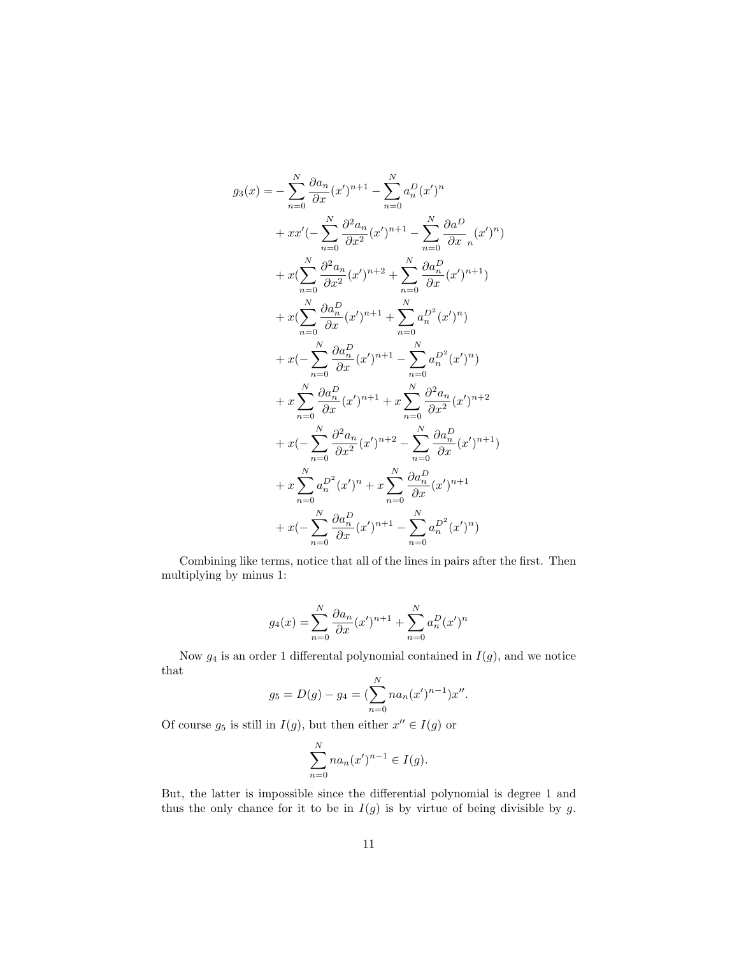$$
g_3(x) = -\sum_{n=0}^{N} \frac{\partial a_n}{\partial x} (x')^{n+1} - \sum_{n=0}^{N} a_n^D (x')^n
$$
  
+  $xx'(-\sum_{n=0}^{N} \frac{\partial^2 a_n}{\partial x^2} (x')^{n+1} - \sum_{n=0}^{N} \frac{\partial a_n^D}{\partial x_n} (x')^n)$   
+  $x(\sum_{n=0}^{N} \frac{\partial^2 a_n}{\partial x^2} (x')^{n+2} + \sum_{n=0}^{N} \frac{\partial a_n^D}{\partial x} (x')^{n+1})$   
+  $x(\sum_{n=0}^{N} \frac{\partial a_n^D}{\partial x} (x')^{n+1} + \sum_{n=0}^{N} a_n^{D^2} (x')^n)$   
+  $x(-\sum_{n=0}^{N} \frac{\partial a_n^D}{\partial x} (x')^{n+1} - \sum_{n=0}^{N} a_n^{D^2} (x')^n)$   
+  $x \sum_{n=0}^{N} \frac{\partial a_n^D}{\partial x} (x')^{n+1} + x \sum_{n=0}^{N} \frac{\partial^2 a_n}{\partial x^2} (x')^{n+2}$   
+  $x(-\sum_{n=0}^{N} \frac{\partial^2 a_n}{\partial x^2} (x')^{n+2} - \sum_{n=0}^{N} \frac{\partial a_n^D}{\partial x} (x')^{n+1})$   
+  $x \sum_{n=0}^{N} a_n^{D^2} (x')^{n} + x \sum_{n=0}^{N} \frac{\partial a_n^D}{\partial x} (x')^{n+1}$   
+  $x(-\sum_{n=0}^{N} \frac{\partial a_n^D}{\partial x} (x')^{n+1} - \sum_{n=0}^{N} a_n^{D^2} (x')^{n})$ 

Combining like terms, notice that all of the lines in pairs after the first. Then multiplying by minus 1:

$$
g_4(x) = \sum_{n=0}^{N} \frac{\partial a_n}{\partial x} (x')^{n+1} + \sum_{n=0}^{N} a_n^D (x')^n
$$

Now  $g_4$  is an order 1 differental polynomial contained in  $I(g)$ , and we notice that

$$
g_5 = D(g) - g_4 = \left(\sum_{n=0}^{N} na_n (x')^{n-1}\right) x''.
$$

Of course  $g_5$  is still in  $I(g)$ , but then either  $x'' \in I(g)$  or

$$
\sum_{n=0}^{N} na_n (x')^{n-1} \in I(g).
$$

But, the latter is impossible since the differential polynomial is degree 1 and thus the only chance for it to be in  $I(g)$  is by virtue of being divisible by g.